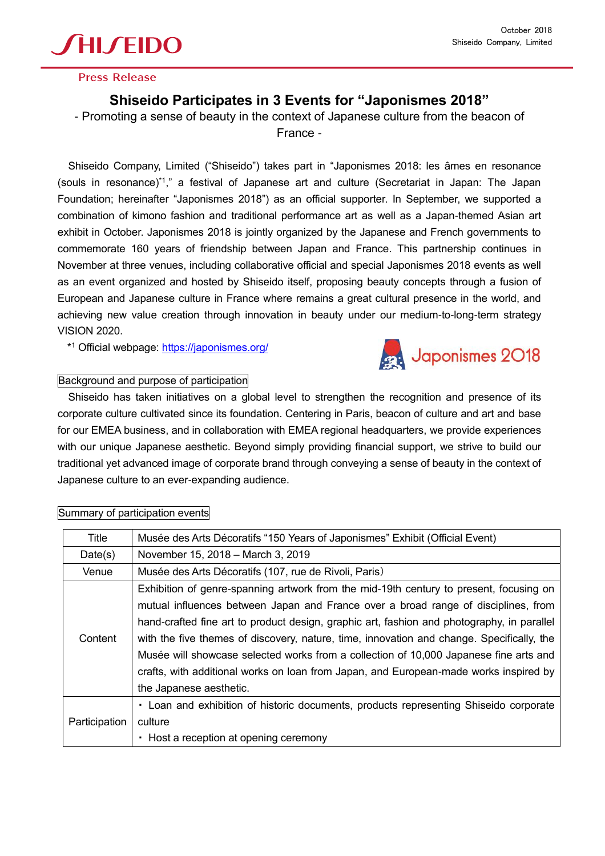

### **Press Release**

# **Shiseido Participates in 3 Events for "Japonismes 2018"**

- Promoting a sense of beauty in the context of Japanese culture from the beacon of France -

Shiseido Company, Limited ("Shiseido") takes part in "Japonismes 2018: les âmes en resonance (souls in resonance)\*1," a festival of Japanese art and culture (Secretariat in Japan: The Japan Foundation; hereinafter "Japonismes 2018") as an official supporter. In September, we supported a combination of kimono fashion and traditional performance art as well as a Japan-themed Asian art exhibit in October. Japonismes 2018 is jointly organized by the Japanese and French governments to commemorate 160 years of friendship between Japan and France. This partnership continues in November at three venues, including collaborative official and special Japonismes 2018 events as well as an event organized and hosted by Shiseido itself, proposing beauty concepts through a fusion of European and Japanese culture in France where remains a great cultural presence in the world, and achieving new value creation through innovation in beauty under our medium-to-long-term strategy VISION 2020.

\* <sup>1</sup> Official webpage:<https://japonismes.org/>



## Background and purpose of participation

Shiseido has taken initiatives on a global level to strengthen the recognition and presence of its corporate culture cultivated since its foundation. Centering in Paris, beacon of culture and art and base for our EMEA business, and in collaboration with EMEA regional headquarters, we provide experiences with our unique Japanese aesthetic. Beyond simply providing financial support, we strive to build our traditional yet advanced image of corporate brand through conveying a sense of beauty in the context of Japanese culture to an ever-expanding audience.

| Title         | Musée des Arts Décoratifs "150 Years of Japonismes" Exhibit (Official Event)               |  |  |
|---------------|--------------------------------------------------------------------------------------------|--|--|
| Date(s)       | November 15, 2018 - March 3, 2019                                                          |  |  |
| Venue         | Musée des Arts Décoratifs (107, rue de Rivoli, Paris)                                      |  |  |
| Content       | Exhibition of genre-spanning artwork from the mid-19th century to present, focusing on     |  |  |
|               | mutual influences between Japan and France over a broad range of disciplines, from         |  |  |
|               | hand-crafted fine art to product design, graphic art, fashion and photography, in parallel |  |  |
|               | with the five themes of discovery, nature, time, innovation and change. Specifically, the  |  |  |
|               | Musée will showcase selected works from a collection of 10,000 Japanese fine arts and      |  |  |
|               | crafts, with additional works on loan from Japan, and European-made works inspired by      |  |  |
|               | the Japanese aesthetic.                                                                    |  |  |
| Participation | • Loan and exhibition of historic documents, products representing Shiseido corporate      |  |  |
|               | culture                                                                                    |  |  |
|               | • Host a reception at opening ceremony                                                     |  |  |

#### Summary of participation events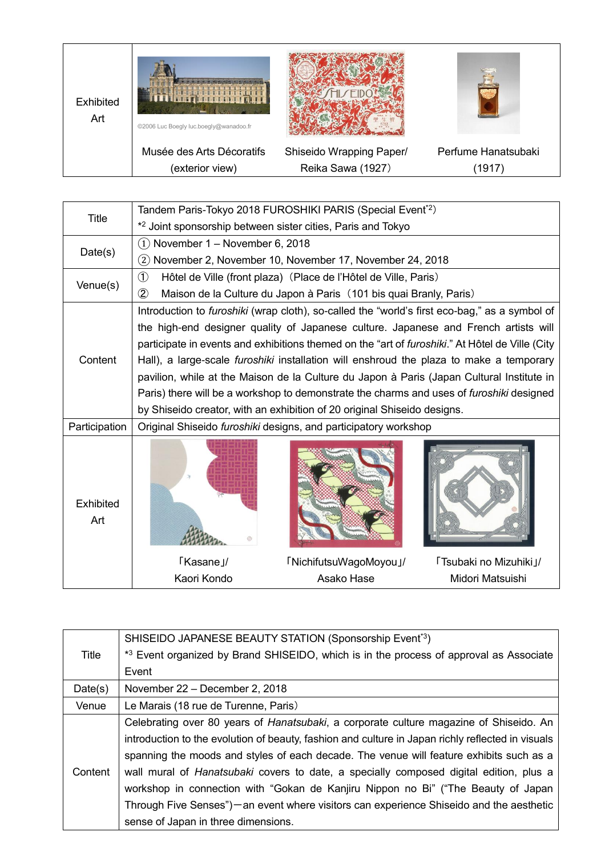

| <b>Title</b>     | Tandem Paris-Tokyo 2018 FUROSHIKI PARIS (Special Event <sup>*2</sup> )                               |                        |                        |  |
|------------------|------------------------------------------------------------------------------------------------------|------------------------|------------------------|--|
|                  | * <sup>2</sup> Joint sponsorship between sister cities, Paris and Tokyo                              |                        |                        |  |
| Date(s)          | November 1 - November 6, 2018<br>(1)                                                                 |                        |                        |  |
|                  | (2) November 2, November 10, November 17, November 24, 2018                                          |                        |                        |  |
| Venue(s)         | $\circled{1}$<br>Hôtel de Ville (front plaza) (Place de l'Hôtel de Ville, Paris)                     |                        |                        |  |
|                  | $\circled{2}$<br>Maison de la Culture du Japon à Paris (101 bis quai Branly, Paris)                  |                        |                        |  |
| Content          | Introduction to <i>furoshiki</i> (wrap cloth), so-called the "world's first eco-bag," as a symbol of |                        |                        |  |
|                  | the high-end designer quality of Japanese culture. Japanese and French artists will                  |                        |                        |  |
|                  | participate in events and exhibitions themed on the "art of furoshiki." At Hôtel de Ville (City      |                        |                        |  |
|                  | Hall), a large-scale <i>furoshiki</i> installation will enshroud the plaza to make a temporary       |                        |                        |  |
|                  | pavilion, while at the Maison de la Culture du Japon à Paris (Japan Cultural Institute in            |                        |                        |  |
|                  | Paris) there will be a workshop to demonstrate the charms and uses of furoshiki designed             |                        |                        |  |
|                  | by Shiseido creator, with an exhibition of 20 original Shiseido designs.                             |                        |                        |  |
| Participation    | Original Shiseido furoshiki designs, and participatory workshop                                      |                        |                        |  |
| Exhibited<br>Art |                                                                                                      |                        |                        |  |
|                  | 「Kasane」/                                                                                            | 「NichifutsuWagoMoyou」/ | 「Tsubaki no Mizuhiki」/ |  |
|                  | Kaori Kondo                                                                                          | Asako Hase             | Midori Matsuishi       |  |

| Title   | SHISEIDO JAPANESE BEAUTY STATION (Sponsorship Event <sup>3</sup> )                                |  |  |
|---------|---------------------------------------------------------------------------------------------------|--|--|
|         | *3 Event organized by Brand SHISEIDO, which is in the process of approval as Associate            |  |  |
|         | Event                                                                                             |  |  |
| Date(s) | November 22 - December 2, 2018                                                                    |  |  |
| Venue   | Le Marais (18 rue de Turenne, Paris)                                                              |  |  |
| Content | Celebrating over 80 years of Hanatsubaki, a corporate culture magazine of Shiseido. An            |  |  |
|         | introduction to the evolution of beauty, fashion and culture in Japan richly reflected in visuals |  |  |
|         | spanning the moods and styles of each decade. The venue will feature exhibits such as a           |  |  |
|         | wall mural of <i>Hanatsubaki</i> covers to date, a specially composed digital edition, plus a     |  |  |
|         | workshop in connection with "Gokan de Kanjiru Nippon no Bi" ("The Beauty of Japan                 |  |  |
|         | Through Five Senses") — an event where visitors can experience Shiseido and the aesthetic         |  |  |
|         | sense of Japan in three dimensions.                                                               |  |  |